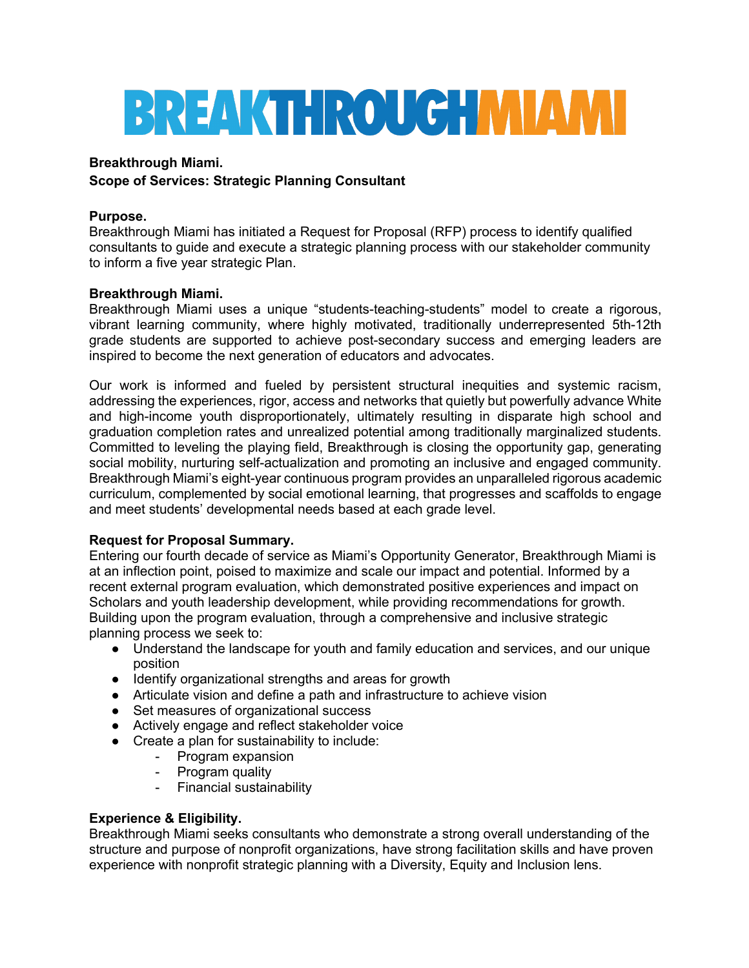# **BREAKTHROUGHMIAMI**

## **Breakthrough Miami.**

# **Scope of Services: Strategic Planning Consultant**

## **Purpose.**

Breakthrough Miami has initiated a Request for Proposal (RFP) process to identify qualified consultants to guide and execute a strategic planning process with our stakeholder community to inform a five year strategic Plan.

## **Breakthrough Miami.**

Breakthrough Miami uses a unique "students-teaching-students" model to create a rigorous, vibrant learning community, where highly motivated, traditionally underrepresented 5th-12th grade students are supported to achieve post-secondary success and emerging leaders are inspired to become the next generation of educators and advocates.

Our work is informed and fueled by persistent structural inequities and systemic racism, addressing the experiences, rigor, access and networks that quietly but powerfully advance White and high-income youth disproportionately, ultimately resulting in disparate high school and graduation completion rates and unrealized potential among traditionally marginalized students. Committed to leveling the playing field, Breakthrough is closing the opportunity gap, generating social mobility, nurturing self-actualization and promoting an inclusive and engaged community. Breakthrough Miami's eight-year continuous program provides an unparalleled rigorous academic curriculum, complemented by social emotional learning, that progresses and scaffolds to engage and meet students' developmental needs based at each grade level.

## **Request for Proposal Summary.**

Entering our fourth decade of service as Miami's Opportunity Generator, Breakthrough Miami is at an inflection point, poised to maximize and scale our impact and potential. Informed by a recent external program evaluation, which demonstrated positive experiences and impact on Scholars and youth leadership development, while providing recommendations for growth. Building upon the program evaluation, through a comprehensive and inclusive strategic planning process we seek to:

- Understand the landscape for youth and family education and services, and our unique position
- Identify organizational strengths and areas for growth
- Articulate vision and define a path and infrastructure to achieve vision
- Set measures of organizational success
- Actively engage and reflect stakeholder voice
- Create a plan for sustainability to include:
	- Program expansion
	- Program quality
	- Financial sustainability

# **Experience & Eligibility.**

Breakthrough Miami seeks consultants who demonstrate a strong overall understanding of the structure and purpose of nonprofit organizations, have strong facilitation skills and have proven experience with nonprofit strategic planning with a Diversity, Equity and Inclusion lens.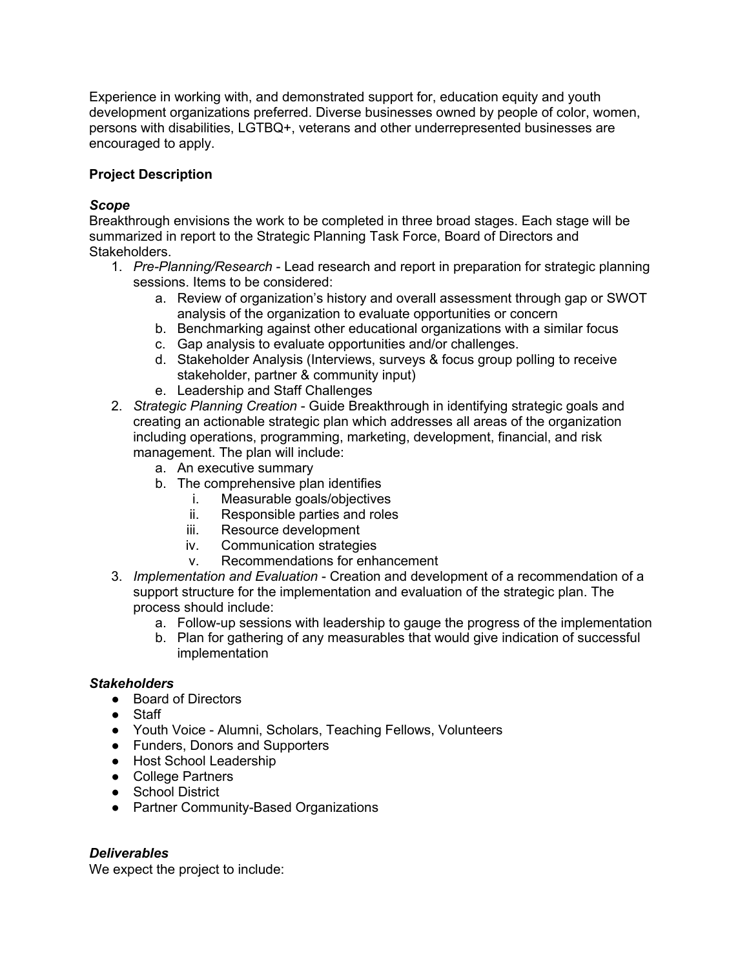Experience in working with, and demonstrated support for, education equity and youth development organizations preferred. Diverse businesses owned by people of color, women, persons with disabilities, LGTBQ+, veterans and other underrepresented businesses are encouraged to apply.

# **Project Description**

## *Scope*

Breakthrough envisions the work to be completed in three broad stages. Each stage will be summarized in report to the Strategic Planning Task Force, Board of Directors and Stakeholders.

- 1. *Pre-Planning/Research* Lead research and report in preparation for strategic planning sessions. Items to be considered:
	- a. Review of organization's history and overall assessment through gap or SWOT analysis of the organization to evaluate opportunities or concern
	- b. Benchmarking against other educational organizations with a similar focus
	- c. Gap analysis to evaluate opportunities and/or challenges.
	- d. Stakeholder Analysis (Interviews, surveys & focus group polling to receive stakeholder, partner & community input)
	- e. Leadership and Staff Challenges
- 2. *Strategic Planning Creation* Guide Breakthrough in identifying strategic goals and creating an actionable strategic plan which addresses all areas of the organization including operations, programming, marketing, development, financial, and risk management. The plan will include:
	- a. An executive summary
	- b. The comprehensive plan identifies
		- i. Measurable goals/objectives
			- ii. Responsible parties and roles
		- iii. Resource development
		- iv. Communication strategies
		- v. Recommendations for enhancement
- 3. *Implementation and Evaluation* Creation and development of a recommendation of a support structure for the implementation and evaluation of the strategic plan. The process should include:
	- a. Follow-up sessions with leadership to gauge the progress of the implementation
	- b. Plan for gathering of any measurables that would give indication of successful implementation

## *Stakeholders*

- Board of Directors
- Staff
- Youth Voice Alumni, Scholars, Teaching Fellows, Volunteers
- Funders, Donors and Supporters
- Host School Leadership
- College Partners
- School District
- Partner Community-Based Organizations

# *Deliverables*

We expect the project to include: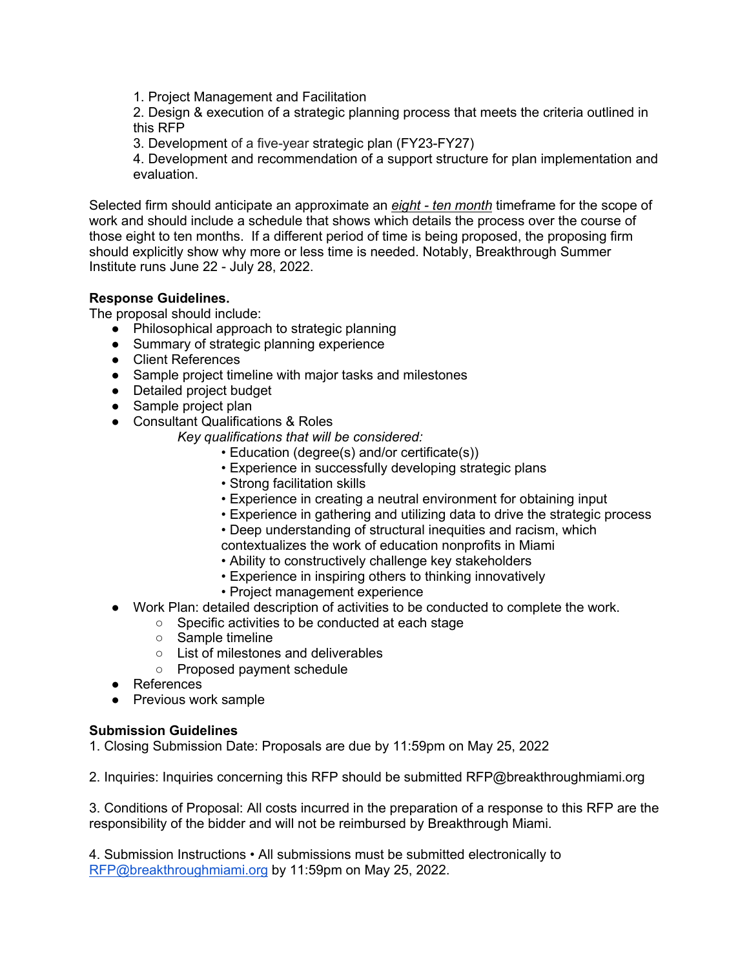1. Project Management and Facilitation

2. Design & execution of a strategic planning process that meets the criteria outlined in this RFP

3. Development of a five-year strategic plan (FY23-FY27)

4. Development and recommendation of a support structure for plan implementation and evaluation.

Selected firm should anticipate an approximate an *eight - ten month* timeframe for the scope of work and should include a schedule that shows which details the process over the course of those eight to ten months. If a different period of time is being proposed, the proposing firm should explicitly show why more or less time is needed. Notably, Breakthrough Summer Institute runs June 22 - July 28, 2022.

## **Response Guidelines.**

The proposal should include:

- Philosophical approach to strategic planning
- Summary of strategic planning experience
- Client References
- Sample project timeline with major tasks and milestones
- Detailed project budget
- Sample project plan
- Consultant Qualifications & Roles
	- *Key qualifications that will be considered:* 
		- Education (degree(s) and/or certificate(s))
		- Experience in successfully developing strategic plans
		- Strong facilitation skills
		- Experience in creating a neutral environment for obtaining input
		- Experience in gathering and utilizing data to drive the strategic process
		- Deep understanding of structural inequities and racism, which
		- contextualizes the work of education nonprofits in Miami
		- Ability to constructively challenge key stakeholders
		- Experience in inspiring others to thinking innovatively
		- Project management experience
- Work Plan: detailed description of activities to be conducted to complete the work.
	- Specific activities to be conducted at each stage
	- Sample timeline
	- List of milestones and deliverables
	- Proposed payment schedule
- References
- Previous work sample

#### **Submission Guidelines**

1. Closing Submission Date: Proposals are due by 11:59pm on May 25, 2022

2. Inquiries: Inquiries concerning this RFP should be submitted RFP@breakthroughmiami.org

3. Conditions of Proposal: All costs incurred in the preparation of a response to this RFP are the responsibility of the bidder and will not be reimbursed by Breakthrough Miami.

4. Submission Instructions • All submissions must be submitted electronically to RFP@breakthroughmiami.org by 11:59pm on May 25, 2022.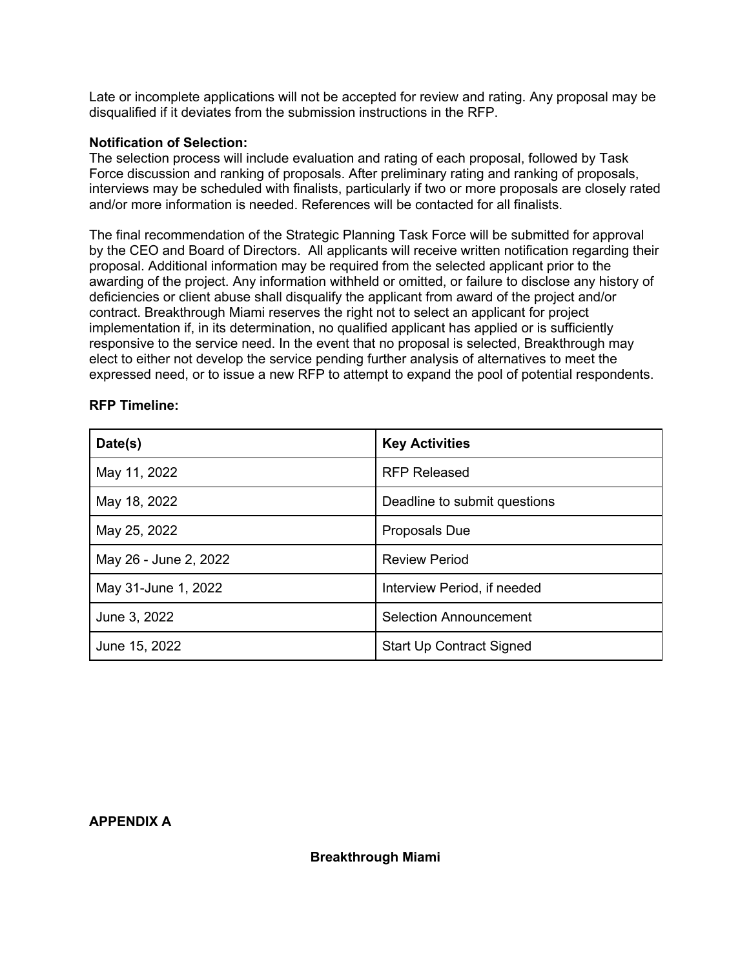Late or incomplete applications will not be accepted for review and rating. Any proposal may be disqualified if it deviates from the submission instructions in the RFP.

#### **Notification of Selection:**

The selection process will include evaluation and rating of each proposal, followed by Task Force discussion and ranking of proposals. After preliminary rating and ranking of proposals, interviews may be scheduled with finalists, particularly if two or more proposals are closely rated and/or more information is needed. References will be contacted for all finalists.

The final recommendation of the Strategic Planning Task Force will be submitted for approval by the CEO and Board of Directors. All applicants will receive written notification regarding their proposal. Additional information may be required from the selected applicant prior to the awarding of the project. Any information withheld or omitted, or failure to disclose any history of deficiencies or client abuse shall disqualify the applicant from award of the project and/or contract. Breakthrough Miami reserves the right not to select an applicant for project implementation if, in its determination, no qualified applicant has applied or is sufficiently responsive to the service need. In the event that no proposal is selected, Breakthrough may elect to either not develop the service pending further analysis of alternatives to meet the expressed need, or to issue a new RFP to attempt to expand the pool of potential respondents.

| Date(s)               | <b>Key Activities</b>           |
|-----------------------|---------------------------------|
| May 11, 2022          | <b>RFP Released</b>             |
| May 18, 2022          | Deadline to submit questions    |
| May 25, 2022          | Proposals Due                   |
| May 26 - June 2, 2022 | <b>Review Period</b>            |
| May 31-June 1, 2022   | Interview Period, if needed     |
| June 3, 2022          | <b>Selection Announcement</b>   |
| June 15, 2022         | <b>Start Up Contract Signed</b> |

#### **RFP Timeline:**

#### **APPENDIX A**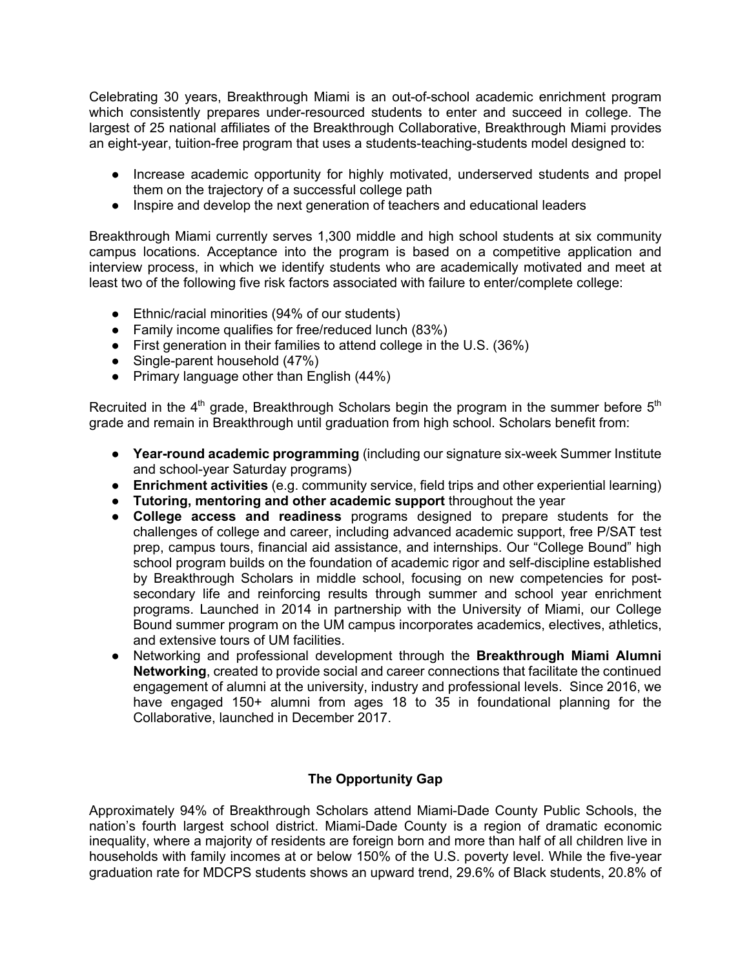Celebrating 30 years, Breakthrough Miami is an out-of-school academic enrichment program which consistently prepares under-resourced students to enter and succeed in college. The largest of 25 national affiliates of the Breakthrough Collaborative, Breakthrough Miami provides an eight-year, tuition-free program that uses a students-teaching-students model designed to:

- Increase academic opportunity for highly motivated, underserved students and propel them on the trajectory of a successful college path
- Inspire and develop the next generation of teachers and educational leaders

Breakthrough Miami currently serves 1,300 middle and high school students at six community campus locations. Acceptance into the program is based on a competitive application and interview process, in which we identify students who are academically motivated and meet at least two of the following five risk factors associated with failure to enter/complete college:

- Ethnic/racial minorities (94% of our students)
- Family income qualifies for free/reduced lunch (83%)
- First generation in their families to attend college in the U.S. (36%)
- Single-parent household (47%)
- Primary language other than English (44%)

Recruited in the  $4<sup>th</sup>$  grade, Breakthrough Scholars begin the program in the summer before  $5<sup>th</sup>$ grade and remain in Breakthrough until graduation from high school. Scholars benefit from:

- **Year-round academic programming** (including our signature six-week Summer Institute and school-year Saturday programs)
- **Enrichment activities** (e.g. community service, field trips and other experiential learning)
- **Tutoring, mentoring and other academic support** throughout the year
- **College access and readiness** programs designed to prepare students for the challenges of college and career, including advanced academic support, free P/SAT test prep, campus tours, financial aid assistance, and internships. Our "College Bound" high school program builds on the foundation of academic rigor and self-discipline established by Breakthrough Scholars in middle school, focusing on new competencies for postsecondary life and reinforcing results through summer and school year enrichment programs. Launched in 2014 in partnership with the University of Miami, our College Bound summer program on the UM campus incorporates academics, electives, athletics, and extensive tours of UM facilities.
- Networking and professional development through the **Breakthrough Miami Alumni Networking**, created to provide social and career connections that facilitate the continued engagement of alumni at the university, industry and professional levels. Since 2016, we have engaged 150+ alumni from ages 18 to 35 in foundational planning for the Collaborative, launched in December 2017.

## **The Opportunity Gap**

Approximately 94% of Breakthrough Scholars attend Miami-Dade County Public Schools, the nation's fourth largest school district. Miami-Dade County is a region of dramatic economic inequality, where a majority of residents are foreign born and more than half of all children live in households with family incomes at or below 150% of the U.S. poverty level. While the five-year graduation rate for MDCPS students shows an upward trend, 29.6% of Black students, 20.8% of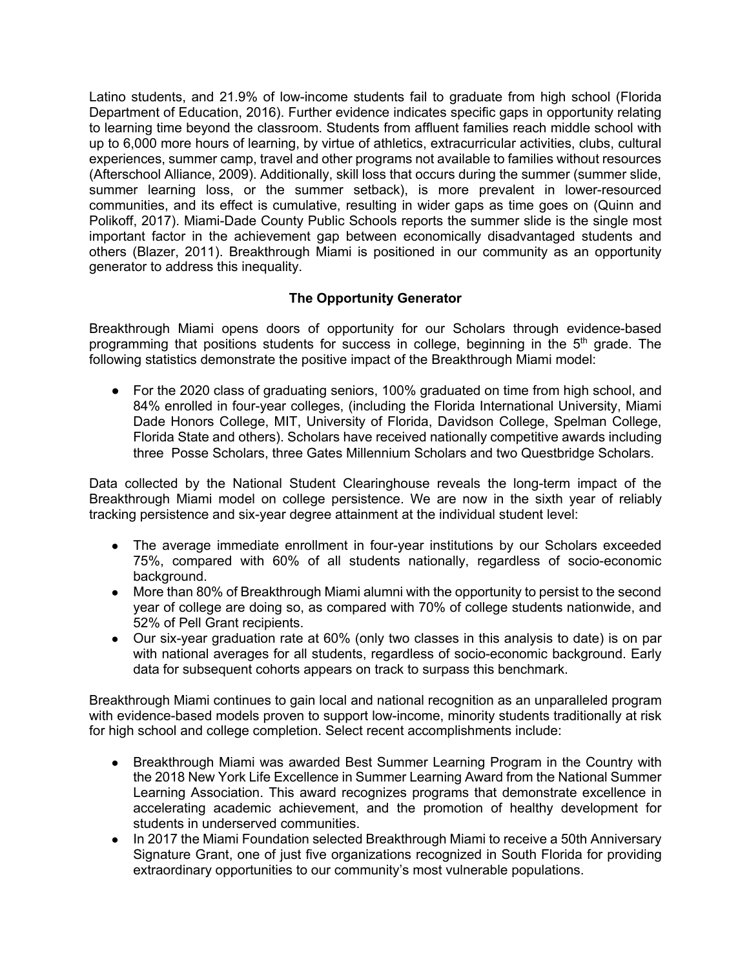Latino students, and 21.9% of low-income students fail to graduate from high school (Florida Department of Education, 2016). Further evidence indicates specific gaps in opportunity relating to learning time beyond the classroom. Students from affluent families reach middle school with up to 6,000 more hours of learning, by virtue of athletics, extracurricular activities, clubs, cultural experiences, summer camp, travel and other programs not available to families without resources (Afterschool Alliance, 2009). Additionally, skill loss that occurs during the summer (summer slide, summer learning loss, or the summer setback), is more prevalent in lower-resourced communities, and its effect is cumulative, resulting in wider gaps as time goes on (Quinn and Polikoff, 2017). Miami-Dade County Public Schools reports the summer slide is the single most important factor in the achievement gap between economically disadvantaged students and others (Blazer, 2011). Breakthrough Miami is positioned in our community as an opportunity generator to address this inequality.

## **The Opportunity Generator**

Breakthrough Miami opens doors of opportunity for our Scholars through evidence-based programming that positions students for success in college, beginning in the  $5<sup>th</sup>$  grade. The following statistics demonstrate the positive impact of the Breakthrough Miami model:

● For the 2020 class of graduating seniors, 100% graduated on time from high school, and 84% enrolled in four-year colleges, (including the Florida International University, Miami Dade Honors College, MIT, University of Florida, Davidson College, Spelman College, Florida State and others). Scholars have received nationally competitive awards including three Posse Scholars, three Gates Millennium Scholars and two Questbridge Scholars.

Data collected by the National Student Clearinghouse reveals the long-term impact of the Breakthrough Miami model on college persistence. We are now in the sixth year of reliably tracking persistence and six-year degree attainment at the individual student level:

- The average immediate enrollment in four-year institutions by our Scholars exceeded 75%, compared with 60% of all students nationally, regardless of socio-economic background.
- More than 80% of Breakthrough Miami alumni with the opportunity to persist to the second year of college are doing so, as compared with 70% of college students nationwide, and 52% of Pell Grant recipients.
- Our six-year graduation rate at 60% (only two classes in this analysis to date) is on par with national averages for all students, regardless of socio-economic background. Early data for subsequent cohorts appears on track to surpass this benchmark.

Breakthrough Miami continues to gain local and national recognition as an unparalleled program with evidence-based models proven to support low-income, minority students traditionally at risk for high school and college completion. Select recent accomplishments include:

- Breakthrough Miami was awarded Best Summer Learning Program in the Country with the 2018 New York Life Excellence in Summer Learning Award from the National Summer Learning Association. This award recognizes programs that demonstrate excellence in accelerating academic achievement, and the promotion of healthy development for students in underserved communities.
- In 2017 the Miami Foundation selected Breakthrough Miami to receive a 50th Anniversary Signature Grant, one of just five organizations recognized in South Florida for providing extraordinary opportunities to our community's most vulnerable populations.